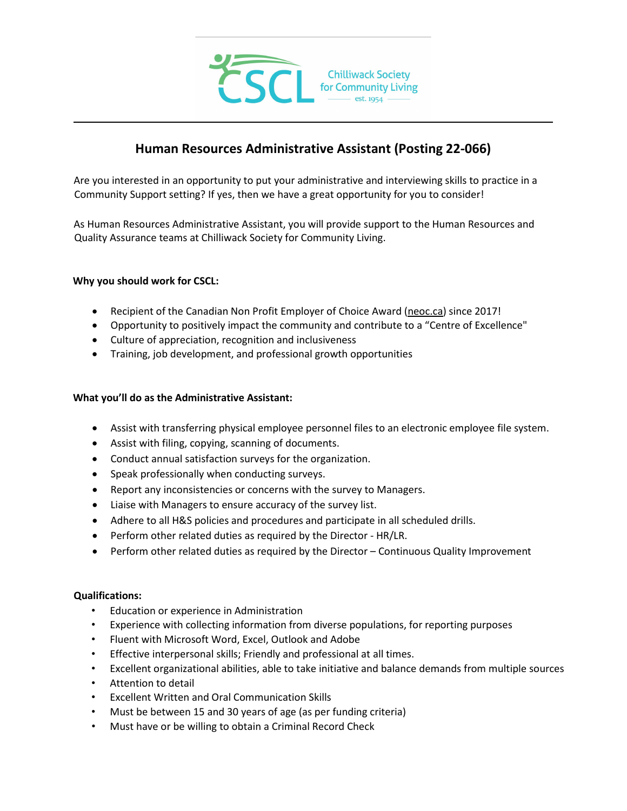

# **Human Resources Administrative Assistant (Posting 22-066)**

Are you interested in an opportunity to put your administrative and interviewing skills to practice in a Community Support setting? If yes, then we have a great opportunity for you to consider!

As Human Resources Administrative Assistant, you will provide support to the Human Resources and Quality Assurance teams at Chilliwack Society for Community Living.

#### **Why you should work for CSCL:**

- Recipient of the Canadian Non Profit Employer of Choice Award [\(neoc.ca\)](http://neoc.ca/) since 2017!
- Opportunity to positively impact the community and contribute to a "Centre of Excellence"
- Culture of appreciation, recognition and inclusiveness
- Training, job development, and professional growth opportunities

#### **What you'll do as the Administrative Assistant:**

- Assist with transferring physical employee personnel files to an electronic employee file system.
- Assist with filing, copying, scanning of documents.
- Conduct annual satisfaction surveys for the organization.
- Speak professionally when conducting surveys.
- Report any inconsistencies or concerns with the survey to Managers.
- Liaise with Managers to ensure accuracy of the survey list.
- Adhere to all H&S policies and procedures and participate in all scheduled drills.
- Perform other related duties as required by the Director HR/LR.
- Perform other related duties as required by the Director Continuous Quality Improvement

#### **Qualifications:**

- Education or experience in Administration
- Experience with collecting information from diverse populations, for reporting purposes
- Fluent with Microsoft Word, Excel, Outlook and Adobe
- Effective interpersonal skills; Friendly and professional at all times.
- Excellent organizational abilities, able to take initiative and balance demands from multiple sources
- Attention to detail
- Excellent Written and Oral Communication Skills
- Must be between 15 and 30 years of age (as per funding criteria)
- Must have or be willing to obtain a Criminal Record Check